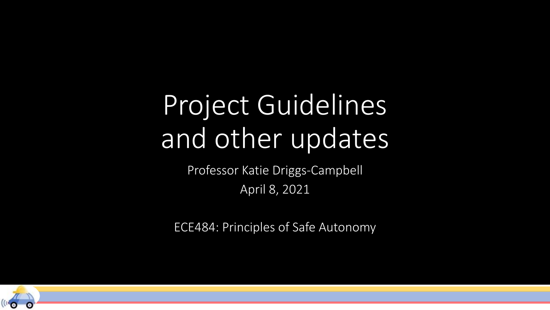## Project Guidelines and other updates

Professor Katie Driggs-Campbell April 8, 2021

ECE484: Principles of Safe Autonomy

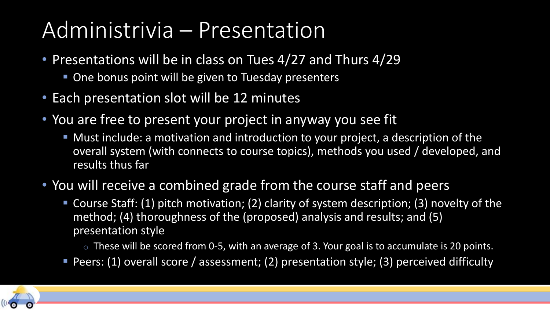## Administrivia – Presentation

- Presentations will be in class on Tues 4/27 and Thurs 4/29
	- **One bonus point will be given to Tuesday presenters**
- Each presentation slot will be 12 minutes
- You are free to present your project in anyway you see fit
	- Must include: a motivation and introduction to your project, a description of the overall system (with connects to course topics), methods you used / developed, and results thus far
- You will receive a combined grade from the course staff and peers
	- Course Staff: (1) pitch motivation; (2) clarity of system description; (3) novelty of the method; (4) thoroughness of the (proposed) analysis and results; and (5) presentation style
		- o These will be scored from 0-5, with an average of 3. Your goal is to accumulate is 20 points.
	- Peers: (1) overall score / assessment; (2) presentation style; (3) perceived difficulty

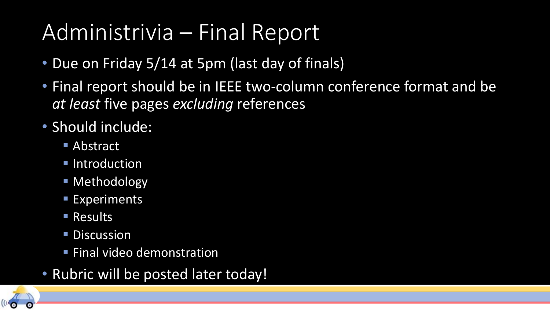## Administrivia – Final Report

- Due on Friday 5/14 at 5pm (last day of finals)
- Final report should be in IEEE two-column conference format and be *at least* five pages *excluding* references
- Should include:
	- Abstract
	- **E** Introduction
	- **E** Methodology
	- **Experiments**
	- Results
	- **Discussion**
	- **Example 1 Final video demonstration**
- Rubric will be posted later today!